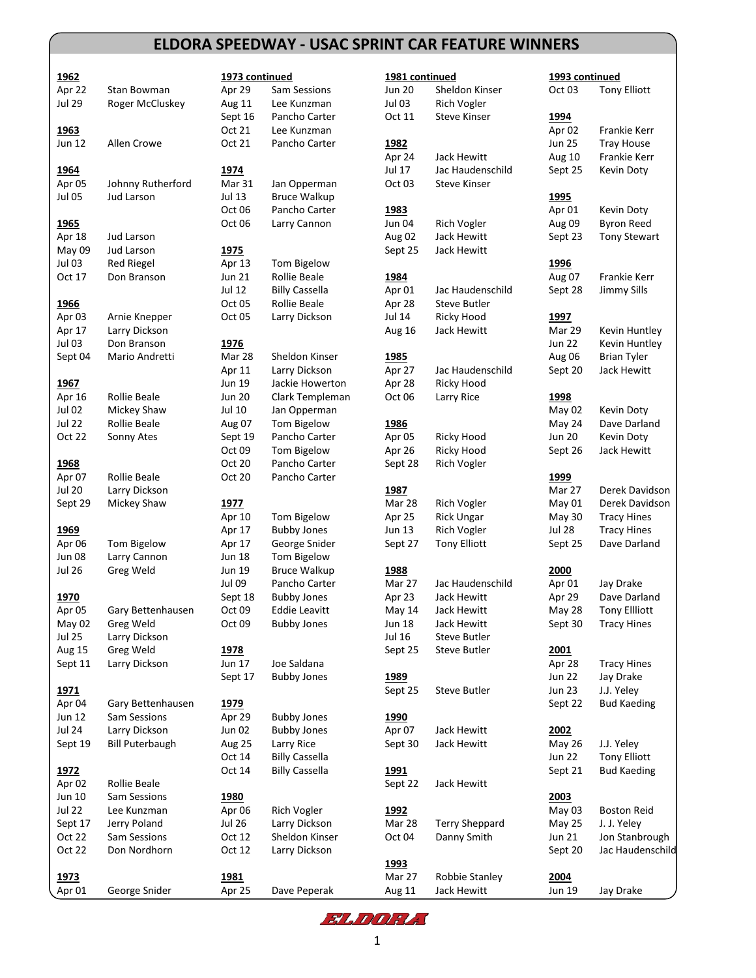## **ELDORA SPEEDWAY - USAC SPRINT CAR FEATURE WINNERS**

| 1962             |                              | 1973 continued |                       | 1981 continued |                     |
|------------------|------------------------------|----------------|-----------------------|----------------|---------------------|
| Apr 22           | Stan Bowman                  | Apr 29         | Sam Sessions          | <b>Jun 20</b>  | Sheldon Kins        |
| <b>Jul 29</b>    | Roger McCluskey              | Aug 11         | Lee Kunzman           | Jul 03         | Rich Vogler         |
|                  |                              | Sept 16        | Pancho Carter         | Oct 11         | <b>Steve Kinser</b> |
| 1963             |                              | Oct 21         | Lee Kunzman           |                |                     |
| Jun 12           | Allen Crowe                  | Oct 21         | Pancho Carter         | 1982           |                     |
|                  |                              |                |                       | Apr 24         | Jack Hewitt         |
| 1964             |                              | 1974           |                       | Jul 17         | <b>Jac Haudens</b>  |
| Apr 05           | Johnny Rutherford            | Mar 31         | Jan Opperman          | Oct 03         | <b>Steve Kinser</b> |
| <b>Jul 05</b>    | Jud Larson                   | Jul 13         | <b>Bruce Walkup</b>   |                |                     |
|                  |                              | Oct 06         | Pancho Carter         | 1983           |                     |
| 1965             |                              | Oct 06         | Larry Cannon          | Jun 04         | Rich Vogler         |
| Apr 18           | Jud Larson                   |                |                       | Aug 02         | Jack Hewitt         |
| May 09           | <b>Jud Larson</b>            | 1975           |                       | Sept 25        | Jack Hewitt         |
| Jul 03           | <b>Red Riegel</b>            | Apr 13         | Tom Bigelow           |                |                     |
| Oct 17           | Don Branson                  | Jun 21         | <b>Rollie Beale</b>   | 1984           |                     |
|                  |                              | Jul 12         | <b>Billy Cassella</b> | Apr 01         | <b>Jac Haudens</b>  |
| 1966             |                              | Oct 05         | <b>Rollie Beale</b>   | Apr 28         | <b>Steve Butler</b> |
| Apr 03           | Arnie Knepper                | Oct 05         | Larry Dickson         | Jul 14         | Ricky Hood          |
| Apr 17           | Larry Dickson                |                |                       | Aug 16         | <b>Jack Hewitt</b>  |
| Jul 03           | Don Branson                  | <u>1976</u>    |                       |                |                     |
| Sept 04          | Mario Andretti               | Mar 28         | Sheldon Kinser        | 1985           |                     |
|                  |                              | Apr 11         | Larry Dickson         | Apr 27         | <b>Jac Haudens</b>  |
| 1967             |                              | Jun 19         | Jackie Howerton       | Apr 28         | Ricky Hood          |
| Apr 16           | <b>Rollie Beale</b>          | Jun 20         | Clark Templeman       | Oct 06         | Larry Rice          |
| <b>Jul 02</b>    | Mickey Shaw                  | Jul 10         | Jan Opperman          |                |                     |
| <b>Jul 22</b>    | Rollie Beale                 | Aug 07         | Tom Bigelow           | 1986           |                     |
| Oct 22           | Sonny Ates                   | Sept 19        | Pancho Carter         | Apr 05         | Ricky Hood          |
|                  |                              | Oct 09         | Tom Bigelow           | Apr 26         | Ricky Hood          |
| 1968             |                              | Oct 20         | Pancho Carter         | Sept 28        | <b>Rich Vogler</b>  |
| Apr 07           | <b>Rollie Beale</b>          | Oct 20         | Pancho Carter         |                |                     |
| Jul 20           | Larry Dickson<br>Mickey Shaw | 1977           |                       | 1987<br>Mar 28 | <b>Rich Vogler</b>  |
| Sept 29          |                              | Apr 10         | Tom Bigelow           | Apr 25         | Rick Ungar          |
| <u>1969</u>      |                              | Apr 17         | <b>Bubby Jones</b>    | Jun 13         | Rich Vogler         |
| Apr 06           | Tom Bigelow                  | Apr 17         | George Snider         | Sept 27        | <b>Tony Elliott</b> |
| Jun 08           | Larry Cannon                 | Jun 18         | Tom Bigelow           |                |                     |
| <b>Jul 26</b>    | Greg Weld                    | Jun 19         | <b>Bruce Walkup</b>   | 1988           |                     |
|                  |                              | Jul 09         | Pancho Carter         | Mar 27         | <b>Jac Haudens</b>  |
| 1970             |                              | Sept 18        | <b>Bubby Jones</b>    | Apr 23         | Jack Hewitt         |
| Apr 05           | Gary Bettenhausen            | Oct 09         | <b>Eddie Leavitt</b>  | May 14         | Jack Hewitt         |
| May 02           | Greg Weld                    | Oct 09         | <b>Bubby Jones</b>    | Jun 18         | Jack Hewitt         |
| <b>Jul 25</b>    | Larry Dickson                |                |                       | Jul 16         | <b>Steve Butler</b> |
| <b>Aug 15</b>    | Greg Weld                    | <u>1978</u>    |                       | Sept 25        | Steve Butler        |
| Sept 11          | Larry Dickson                | Jun 17         | Joe Saldana           |                |                     |
|                  |                              | Sept 17        | <b>Bubby Jones</b>    | <u>1989</u>    |                     |
| <u>1971</u>      |                              |                |                       | Sept 25        | <b>Steve Butler</b> |
| Apr 04           | Gary Bettenhausen            | 1979           |                       |                |                     |
| Jun 12           | Sam Sessions                 | Apr 29         | <b>Bubby Jones</b>    | 1990           |                     |
| <b>Jul 24</b>    | Larry Dickson                | Jun 02         | <b>Bubby Jones</b>    | Apr 07         | Jack Hewitt         |
| Sept 19          | <b>Bill Puterbaugh</b>       | <b>Aug 25</b>  | Larry Rice            | Sept 30        | Jack Hewitt         |
|                  |                              | Oct 14         | <b>Billy Cassella</b> |                |                     |
| 1972             |                              | Oct 14         | <b>Billy Cassella</b> | <u> 1991</u>   |                     |
| Apr 02           | Rollie Beale                 |                |                       | Sept 22        | Jack Hewitt         |
| Jun 10           | Sam Sessions                 | <u>1980</u>    |                       |                |                     |
| <b>Jul 22</b>    | Lee Kunzman                  | Apr 06         | <b>Rich Vogler</b>    | 1992           |                     |
| Sept 17          | Jerry Poland                 | Jul 26         | Larry Dickson         | Mar 28         | Terry Shepp         |
| Oct 22<br>Oct 22 | Sam Sessions<br>Don Nordhorn | Oct 12         | Sheldon Kinser        | Oct 04         | Danny Smith         |
|                  |                              | Oct 12         | Larry Dickson         | 1993           |                     |

| continued               |                       |
|-------------------------|-----------------------|
| 9                       | Sam Sessions          |
| L1                      | Lee Kunzman           |
| 16                      | Pancho Carter         |
| $\overline{1}$          | Lee Kunzman           |
| $\overline{1}$          | Pancho Carter         |
| 31                      | Jan Opperman          |
| š                       | <b>Bruce Walkup</b>   |
| 16                      | Pancho Carter         |
| 16                      | Larry Cannon          |
| $\overline{\mathbf{3}}$ | Tom Bigelow           |
| 1                       | Rollie Beale          |
| 2                       | <b>Billy Cassella</b> |
| 15                      | Rollie Beale          |
| 15                      | Larry Dickson         |
| 28                      | Sheldon Kinser        |
| $\overline{1}$          | Larry Dickson         |
| 9                       | Jackie Howerton       |
| 0                       | Clark Templeman       |
| )                       | Jan Opperman          |
| $\overline{7}$          | Tom Bigelow           |
| 19                      | Pancho Carter         |
| 19                      | Tom Bigelow           |
| 0                       | Pancho Carter         |
| 0                       | Pancho Carter         |
| $\overline{0}$          | Tom Bigelow           |
| 7                       | <b>Bubby Jones</b>    |
| 7.                      | George Snider         |
| 8                       | Tom Bigelow           |
| 9                       | <b>Bruce Walkup</b>   |
| €                       | Pancho Carter         |
| 18                      | <b>Bubby Jones</b>    |
| 19                      | <b>Eddie Leavitt</b>  |
| 19                      | <b>Bubby Jones</b>    |
| $\overline{7}$          | Joe Saldana           |
| 17                      | <b>Bubby Jones</b>    |
| $\overline{9}$          | <b>Bubby Jones</b>    |
| $\overline{\mathbf{2}}$ | <b>Bubby Jones</b>    |
| 25                      | Larry Rice            |
| 4                       | <b>Billy Cassella</b> |
| 4.                      | <b>Billy Cassella</b> |
| 16                      | <b>Rich Vogler</b>    |
| Ĵ                       | Larry Dickson         |
| $\overline{c}$          | Sheldon Kinser        |
| $\overline{c}$          | Larry Dickson         |
|                         |                       |

| 1962          |                        | 1973 continued |                       | 1981 continued    |                       | 1993 continued |                      |
|---------------|------------------------|----------------|-----------------------|-------------------|-----------------------|----------------|----------------------|
| Apr 22        | Stan Bowman            | Apr 29         | Sam Sessions          | <b>Jun 20</b>     | Sheldon Kinser        | Oct 03         | <b>Tony Elliott</b>  |
| <b>Jul 29</b> | Roger McCluskey        | Aug 11         | Lee Kunzman           | Jul 03            | <b>Rich Vogler</b>    |                |                      |
|               |                        | Sept 16        | Pancho Carter         | Oct 11            | <b>Steve Kinser</b>   | 1994           |                      |
| <u>1963</u>   |                        | Oct 21         | Lee Kunzman           |                   |                       | Apr 02         | Frankie Kerr         |
| Jun 12        | Allen Crowe            | Oct 21         | Pancho Carter         | 1982              |                       | <b>Jun 25</b>  | <b>Tray House</b>    |
|               |                        |                |                       | Apr 24            | Jack Hewitt           | Aug 10         | Frankie Kerr         |
| 1964          |                        | 1974           |                       | Jul 17            | Jac Haudenschild      | Sept 25        | Kevin Doty           |
| Apr 05        | Johnny Rutherford      | Mar 31         | Jan Opperman          | Oct <sub>03</sub> | <b>Steve Kinser</b>   |                |                      |
| <b>Jul 05</b> | <b>Jud Larson</b>      | Jul 13         | <b>Bruce Walkup</b>   |                   |                       | <u>1995</u>    |                      |
|               |                        | Oct 06         | Pancho Carter         | 1983              |                       | Apr 01         | Kevin Doty           |
| <u>1965</u>   |                        | Oct 06         | Larry Cannon          | <b>Jun 04</b>     | <b>Rich Vogler</b>    | Aug 09         | <b>Byron Reed</b>    |
| Apr 18        | Jud Larson             |                |                       | Aug 02            | Jack Hewitt           | Sept 23        | <b>Tony Stewart</b>  |
| May 09        | Jud Larson             | <u>1975</u>    |                       | Sept 25           | Jack Hewitt           |                |                      |
| Jul 03        | <b>Red Riegel</b>      | Apr 13         | Tom Bigelow           |                   |                       | 1996           |                      |
| Oct 17        | Don Branson            | <b>Jun 21</b>  | Rollie Beale          | 1984              |                       | Aug 07         | Frankie Kerr         |
|               |                        | Jul 12         | <b>Billy Cassella</b> | Apr 01            | Jac Haudenschild      | Sept 28        | Jimmy Sills          |
| 1966          |                        | Oct 05         | Rollie Beale          | Apr 28            | <b>Steve Butler</b>   |                |                      |
| Apr 03        | Arnie Knepper          | Oct 05         | Larry Dickson         | Jul 14            | Ricky Hood            | 1997           |                      |
| Apr 17        | Larry Dickson          |                |                       | Aug 16            | Jack Hewitt           | Mar 29         | Kevin Huntley        |
| <b>Jul 03</b> | Don Branson            | 1976           |                       |                   |                       | <b>Jun 22</b>  | Kevin Huntley        |
| Sept 04       | Mario Andretti         | Mar 28         | Sheldon Kinser        | 1985              |                       | Aug 06         | <b>Brian Tyler</b>   |
|               |                        | Apr 11         | Larry Dickson         | Apr 27            | Jac Haudenschild      | Sept 20        | Jack Hewitt          |
| 1967          |                        | Jun 19         | Jackie Howerton       | Apr 28            | Ricky Hood            |                |                      |
| Apr 16        | <b>Rollie Beale</b>    | <b>Jun 20</b>  | Clark Templeman       | Oct 06            | Larry Rice            | 1998           |                      |
| <b>Jul 02</b> | Mickey Shaw            | Jul 10         | Jan Opperman          |                   |                       | May 02         | Kevin Doty           |
| <b>Jul 22</b> | Rollie Beale           | Aug 07         | Tom Bigelow           | 1986              |                       | May 24         | Dave Darland         |
| Oct 22        | Sonny Ates             | Sept 19        | Pancho Carter         | Apr 05            | <b>Ricky Hood</b>     | <b>Jun 20</b>  | Kevin Doty           |
|               |                        | Oct 09         | Tom Bigelow           | Apr 26            | Ricky Hood            | Sept 26        | Jack Hewitt          |
| 1968          |                        | Oct 20         | Pancho Carter         | Sept 28           | <b>Rich Vogler</b>    |                |                      |
| Apr 07        | Rollie Beale           | Oct 20         | Pancho Carter         |                   |                       | 1999           |                      |
| <b>Jul 20</b> | Larry Dickson          |                |                       | 1987              |                       | Mar 27         | Derek Davidson       |
| Sept 29       | Mickey Shaw            | 1977           |                       | Mar 28            | Rich Vogler           | May 01         | Derek Davidson       |
|               |                        | Apr 10         | Tom Bigelow           | Apr 25            | <b>Rick Ungar</b>     | May 30         | <b>Tracy Hines</b>   |
| <u>1969</u>   |                        | Apr 17         | <b>Bubby Jones</b>    | Jun 13            | Rich Vogler           | <b>Jul 28</b>  | <b>Tracy Hines</b>   |
| Apr 06        | Tom Bigelow            | Apr 17         | George Snider         | Sept 27           | <b>Tony Elliott</b>   | Sept 25        | Dave Darland         |
| <b>Jun 08</b> | Larry Cannon           | <b>Jun 18</b>  | Tom Bigelow           |                   |                       |                |                      |
| <b>Jul 26</b> | Greg Weld              | Jun 19         | <b>Bruce Walkup</b>   | 1988              |                       | 2000           |                      |
|               |                        | <b>Jul 09</b>  | Pancho Carter         | Mar 27            | Jac Haudenschild      | Apr 01         | Jay Drake            |
| 1970          |                        | Sept 18        | <b>Bubby Jones</b>    | Apr 23            | Jack Hewitt           | Apr 29         | Dave Darland         |
| Apr 05        | Gary Bettenhausen      | Oct 09         | <b>Eddie Leavitt</b>  | May 14            | Jack Hewitt           | May 28         | <b>Tony Ellliott</b> |
| May 02        | Greg Weld              | Oct 09         | <b>Bubby Jones</b>    | Jun 18            | Jack Hewitt           | Sept 30        | <b>Tracy Hines</b>   |
| <b>Jul 25</b> | Larry Dickson          |                |                       | Jul 16            | Steve Butler          |                |                      |
| Aug 15        | Greg Weld              | 1978           |                       | Sept 25           | Steve Butler          | 2001           |                      |
| Sept 11       | Larry Dickson          | Jun 17         | Joe Saldana           |                   |                       | Apr 28         | <b>Tracy Hines</b>   |
|               |                        | Sept 17        | <b>Bubby Jones</b>    | 1989              |                       | <b>Jun 22</b>  | Jay Drake            |
| <u>1971</u>   |                        |                |                       | Sept 25           | Steve Butler          | <b>Jun 23</b>  | J.J. Yeley           |
| Apr 04        | Gary Bettenhausen      | 1979           |                       |                   |                       | Sept 22        | <b>Bud Kaeding</b>   |
| Jun 12        | Sam Sessions           | Apr 29         | <b>Bubby Jones</b>    | 1990              |                       |                |                      |
| <b>Jul 24</b> | Larry Dickson          | Jun 02         | <b>Bubby Jones</b>    | Apr 07            | Jack Hewitt           | 2002           |                      |
| Sept 19       | <b>Bill Puterbaugh</b> | Aug 25         | Larry Rice            | Sept 30           | Jack Hewitt           | <b>May 26</b>  | J.J. Yeley           |
|               |                        | Oct 14         | <b>Billy Cassella</b> |                   |                       | <b>Jun 22</b>  | <b>Tony Elliott</b>  |
| <u>1972</u>   |                        | Oct 14         | <b>Billy Cassella</b> | <u>1991</u>       |                       | Sept 21        | <b>Bud Kaeding</b>   |
| Apr 02        | <b>Rollie Beale</b>    |                |                       | Sept 22           | Jack Hewitt           |                |                      |
| Jun 10        | Sam Sessions           | 1980           |                       |                   |                       | 2003           |                      |
| <b>Jul 22</b> | Lee Kunzman            | Apr 06         | Rich Vogler           | <u>1992</u>       |                       | May 03         | <b>Boston Reid</b>   |
| Sept 17       | Jerry Poland           | <b>Jul 26</b>  | Larry Dickson         | Mar 28            | <b>Terry Sheppard</b> | <b>May 25</b>  | J. J. Yeley          |
| Oct 22        | Sam Sessions           | Oct 12         | Sheldon Kinser        | Oct 04            | Danny Smith           | Jun 21         | Jon Stanbrough       |
| Oct 22        | Don Nordhorn           | Oct 12         | Larry Dickson         |                   |                       | Sept 20        | Jac Haudenschild     |
|               |                        |                |                       | 1993              |                       |                |                      |
| <u> 1973 </u> |                        | 1981           |                       | Mar 27            | Robbie Stanley        | 2004           |                      |
| Apr 01        | George Snider          | Apr 25         | Dave Peperak          | Aug 11            | Jack Hewitt           | Jun 19         | Jay Drake            |
|               |                        |                |                       |                   |                       |                |                      |

FLDORE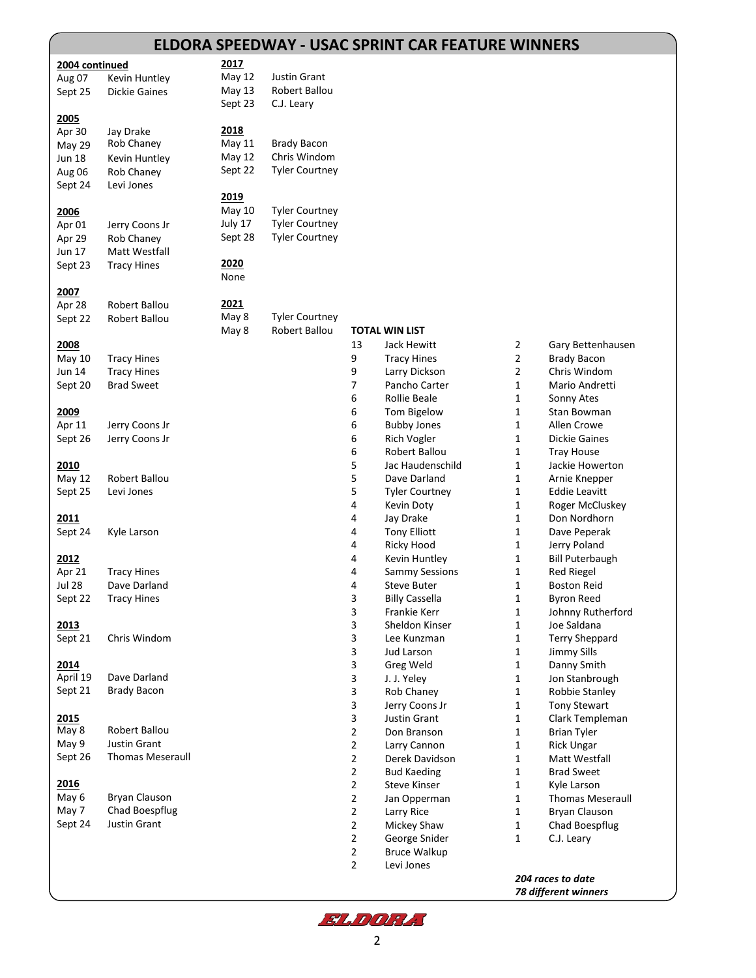|                |                               |               |                       |                                  | <b>ELDORA SPEEDWAY - USAC SPRINT CAR FEATURE WINNERS</b> |        |                                        |
|----------------|-------------------------------|---------------|-----------------------|----------------------------------|----------------------------------------------------------|--------|----------------------------------------|
| 2004 continued |                               | 2017          |                       |                                  |                                                          |        |                                        |
| Aug 07         | Kevin Huntley                 | <b>May 12</b> | Justin Grant          |                                  |                                                          |        |                                        |
| Sept 25        | <b>Dickie Gaines</b>          | May 13        | Robert Ballou         |                                  |                                                          |        |                                        |
|                |                               | Sept 23       | C.J. Leary            |                                  |                                                          |        |                                        |
| 2005           |                               |               |                       |                                  |                                                          |        |                                        |
| Apr 30         | Jay Drake                     | 2018          |                       |                                  |                                                          |        |                                        |
| May 29         | Rob Chaney                    | May 11        | <b>Brady Bacon</b>    |                                  |                                                          |        |                                        |
| <b>Jun 18</b>  | Kevin Huntley                 | May 12        | Chris Windom          |                                  |                                                          |        |                                        |
| Aug 06         | Rob Chaney                    | Sept 22       | <b>Tyler Courtney</b> |                                  |                                                          |        |                                        |
| Sept 24        | Levi Jones                    |               |                       |                                  |                                                          |        |                                        |
|                |                               | 2019          |                       |                                  |                                                          |        |                                        |
| 2006           |                               | May 10        | <b>Tyler Courtney</b> |                                  |                                                          |        |                                        |
| Apr 01         | Jerry Coons Jr                | July 17       | <b>Tyler Courtney</b> |                                  |                                                          |        |                                        |
| Apr 29         | Rob Chaney                    | Sept 28       | <b>Tyler Courtney</b> |                                  |                                                          |        |                                        |
| Jun 17         | Matt Westfall                 |               |                       |                                  |                                                          |        |                                        |
| Sept 23        | <b>Tracy Hines</b>            | 2020<br>None  |                       |                                  |                                                          |        |                                        |
| 2007           |                               |               |                       |                                  |                                                          |        |                                        |
| Apr 28         | Robert Ballou                 | 2021          |                       |                                  |                                                          |        |                                        |
| Sept 22        | Robert Ballou                 | May 8         | <b>Tyler Courtney</b> |                                  |                                                          |        |                                        |
|                |                               | May 8         | Robert Ballou         |                                  | <b>TOTAL WIN LIST</b>                                    |        |                                        |
| 2008           |                               |               |                       | 13                               | Jack Hewitt                                              | 2      | Gary Bettenhausen                      |
| <b>May 10</b>  | <b>Tracy Hines</b>            |               |                       | 9                                | <b>Tracy Hines</b>                                       | 2      | <b>Brady Bacon</b>                     |
| Jun 14         | <b>Tracy Hines</b>            |               |                       | 9                                | Larry Dickson                                            | 2      | Chris Windom                           |
| Sept 20        | <b>Brad Sweet</b>             |               |                       | 7                                | Pancho Carter                                            | 1      | Mario Andretti                         |
|                |                               |               |                       | 6                                | Rollie Beale                                             | 1      | Sonny Ates                             |
| 2009           |                               |               |                       | 6                                | Tom Bigelow                                              | 1      | Stan Bowman                            |
| Apr 11         | Jerry Coons Jr                |               |                       | 6                                | <b>Bubby Jones</b>                                       | 1      | Allen Crowe                            |
| Sept 26        | Jerry Coons Jr                |               |                       | 6                                | <b>Rich Vogler</b>                                       | 1      | <b>Dickie Gaines</b>                   |
|                |                               |               |                       | 6                                | Robert Ballou                                            | 1      | <b>Tray House</b>                      |
| 2010           |                               |               |                       | 5                                | Jac Haudenschild                                         | 1      | Jackie Howerton                        |
| May 12         | Robert Ballou                 |               |                       | 5                                | Dave Darland                                             | 1      | Arnie Knepper                          |
| Sept 25        | Levi Jones                    |               |                       | 5                                | <b>Tyler Courtney</b>                                    | 1      | Eddie Leavitt                          |
|                |                               |               |                       | 4                                | Kevin Doty                                               | 1      | Roger McCluskey                        |
| 2011           |                               |               |                       | 4                                | Jay Drake                                                | 1      | Don Nordhorn                           |
| Sept 24        | Kyle Larson                   |               |                       | 4                                | <b>Tony Elliott</b>                                      | 1      | Dave Peperak                           |
| 2012           |                               |               |                       | 4<br>4                           | Ricky Hood<br>Kevin Huntley                              | 1<br>1 | Jerry Poland<br><b>Bill Puterbaugh</b> |
| Apr 21         | <b>Tracy Hines</b>            |               |                       | 4                                | <b>Sammy Sessions</b>                                    | 1      | <b>Red Riegel</b>                      |
| <b>Jul 28</b>  | Dave Darland                  |               |                       | 4                                | Steve Buter                                              | 1      | <b>Boston Reid</b>                     |
| Sept 22        | <b>Tracy Hines</b>            |               |                       | 3                                | <b>Billy Cassella</b>                                    | 1      | <b>Byron Reed</b>                      |
|                |                               |               |                       | 3                                | Frankie Kerr                                             | 1      | Johnny Rutherford                      |
| 2013           |                               |               |                       | 3                                | Sheldon Kinser                                           | 1      | Joe Saldana                            |
| Sept 21        | Chris Windom                  |               |                       | 3                                | Lee Kunzman                                              | 1      | <b>Terry Sheppard</b>                  |
|                |                               |               |                       | 3                                | Jud Larson                                               | 1      | <b>Jimmy Sills</b>                     |
| 2014           |                               |               |                       | 3                                | Greg Weld                                                | 1      | Danny Smith                            |
| April 19       | Dave Darland                  |               |                       | 3                                | J. J. Yeley                                              | 1      | Jon Stanbrough                         |
| Sept 21        | <b>Brady Bacon</b>            |               |                       | 3                                | Rob Chaney                                               | 1      | Robbie Stanley                         |
|                |                               |               |                       | 3                                | Jerry Coons Jr                                           | 1      | <b>Tony Stewart</b>                    |
| 2015           |                               |               |                       | 3                                | <b>Justin Grant</b>                                      | 1      | Clark Templeman                        |
| May 8<br>May 9 | Robert Ballou<br>Justin Grant |               |                       | $\overline{2}$                   | Don Branson                                              | 1      | <b>Brian Tyler</b>                     |
| Sept 26        | <b>Thomas Meseraull</b>       |               |                       | $\overline{2}$                   | Larry Cannon                                             | 1      | <b>Rick Ungar</b>                      |
|                |                               |               |                       | $\overline{2}$                   | Derek Davidson                                           | 1      | Matt Westfall<br><b>Brad Sweet</b>     |
| 2016           |                               |               |                       | $\overline{2}$<br>$\overline{2}$ | <b>Bud Kaeding</b><br><b>Steve Kinser</b>                | 1<br>1 | Kyle Larson                            |
| May 6          | <b>Bryan Clauson</b>          |               |                       | $\overline{2}$                   | Jan Opperman                                             | 1      | <b>Thomas Meseraull</b>                |
| May 7          | Chad Boespflug                |               |                       | $\overline{2}$                   | Larry Rice                                               | 1      | Bryan Clauson                          |
| Sept 24        | Justin Grant                  |               |                       | $\overline{2}$                   | Mickey Shaw                                              | 1      | Chad Boespflug                         |
|                |                               |               |                       | $\overline{2}$                   | George Snider                                            | 1      | C.J. Leary                             |
|                |                               |               |                       | $\overline{2}$                   | <b>Bruce Walkup</b>                                      |        |                                        |
|                |                               |               |                       | $\overline{2}$                   | Levi Jones                                               |        |                                        |

*204 races to date 78 different winners*

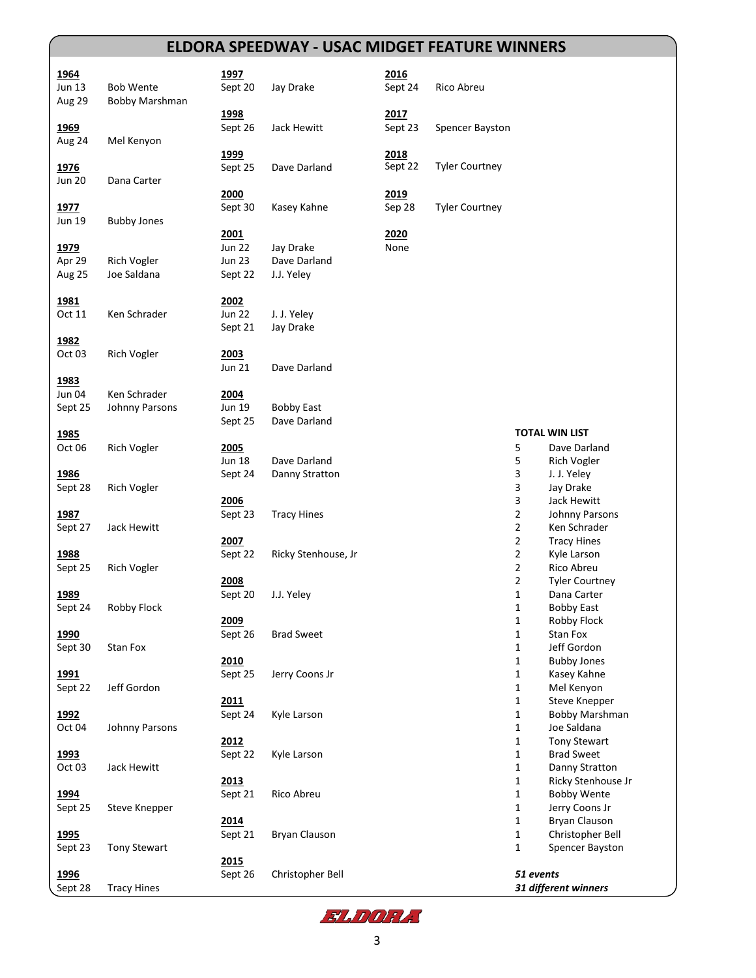## **ELDORA SPEEDWAY - USAC MIDGET FEATURE WINNERS**

| <u> 1964</u>  |                     | 1997          |                     | 2016    |                       |              |                       |
|---------------|---------------------|---------------|---------------------|---------|-----------------------|--------------|-----------------------|
| Jun 13        | <b>Bob Wente</b>    | Sept 20       | Jay Drake           | Sept 24 | Rico Abreu            |              |                       |
| <b>Aug 29</b> | Bobby Marshman      |               |                     |         |                       |              |                       |
|               |                     | 1998          |                     | 2017    |                       |              |                       |
|               |                     |               | Jack Hewitt         | Sept 23 |                       |              |                       |
| 1969          |                     | Sept 26       |                     |         | Spencer Bayston       |              |                       |
| Aug 24        | Mel Kenyon          |               |                     |         |                       |              |                       |
|               |                     | 1999          |                     | 2018    |                       |              |                       |
| 1976          |                     | Sept 25       | Dave Darland        | Sept 22 | <b>Tyler Courtney</b> |              |                       |
| <b>Jun 20</b> | Dana Carter         |               |                     |         |                       |              |                       |
|               |                     | 2000          |                     | 2019    |                       |              |                       |
| <u> 1977 </u> |                     | Sept 30       | Kasey Kahne         | Sep 28  | <b>Tyler Courtney</b> |              |                       |
| Jun 19        | <b>Bubby Jones</b>  |               |                     |         |                       |              |                       |
|               |                     | 2001          |                     | 2020    |                       |              |                       |
| 1979          |                     | <b>Jun 22</b> | Jay Drake           | None    |                       |              |                       |
| Apr 29        | <b>Rich Vogler</b>  | <b>Jun 23</b> | Dave Darland        |         |                       |              |                       |
| Aug 25        | Joe Saldana         | Sept 22       | J.J. Yeley          |         |                       |              |                       |
|               |                     |               |                     |         |                       |              |                       |
| <u> 1981 </u> |                     | 2002          |                     |         |                       |              |                       |
| Oct 11        | Ken Schrader        | <b>Jun 22</b> | J. J. Yeley         |         |                       |              |                       |
|               |                     | Sept 21       | Jay Drake           |         |                       |              |                       |
| <u> 1982</u>  |                     |               |                     |         |                       |              |                       |
| Oct 03        | <b>Rich Vogler</b>  | 2003          |                     |         |                       |              |                       |
|               |                     | <b>Jun 21</b> | Dave Darland        |         |                       |              |                       |
| 1983          |                     |               |                     |         |                       |              |                       |
| Jun 04        | Ken Schrader        | 2004          |                     |         |                       |              |                       |
| Sept 25       | Johnny Parsons      | <b>Jun 19</b> | <b>Bobby East</b>   |         |                       |              |                       |
|               |                     | Sept 25       | Dave Darland        |         |                       |              |                       |
| <u> 1985</u>  |                     |               |                     |         |                       |              | <b>TOTAL WIN LIST</b> |
| Oct 06        | <b>Rich Vogler</b>  | 2005          |                     |         |                       | 5            | Dave Darland          |
|               |                     | <b>Jun 18</b> | Dave Darland        |         |                       | 5            | <b>Rich Vogler</b>    |
| <u> 1986</u>  |                     | Sept 24       | Danny Stratton      |         |                       | 3            | J. J. Yeley           |
|               |                     |               |                     |         |                       | 3            |                       |
| Sept 28       | <b>Rich Vogler</b>  |               |                     |         |                       |              | Jay Drake             |
|               |                     | 2006          |                     |         |                       | 3            | Jack Hewitt           |
| 1987          |                     | Sept 23       | <b>Tracy Hines</b>  |         |                       | 2            | Johnny Parsons        |
| Sept 27       | Jack Hewitt         |               |                     |         |                       | 2            | Ken Schrader          |
|               |                     | 2007          |                     |         |                       | 2            | <b>Tracy Hines</b>    |
| 1988          |                     | Sept 22       | Ricky Stenhouse, Jr |         |                       | 2            | Kyle Larson           |
| Sept 25       | <b>Rich Vogler</b>  |               |                     |         |                       | 2            | Rico Abreu            |
|               |                     | 2008          |                     |         |                       | 2            | <b>Tyler Courtney</b> |
| 1989          |                     | Sept 20       | J.J. Yeley          |         |                       | 1            | Dana Carter           |
| Sept 24       | Robby Flock         |               |                     |         |                       | 1            | <b>Bobby East</b>     |
|               |                     | 2009          |                     |         |                       | 1            | Robby Flock           |
| <u> 1990</u>  |                     | Sept 26       | <b>Brad Sweet</b>   |         |                       | 1            | Stan Fox              |
| Sept 30       | Stan Fox            |               |                     |         |                       | 1            | Jeff Gordon           |
|               |                     | 2010          |                     |         |                       | 1            | <b>Bubby Jones</b>    |
| <u> 1991</u>  |                     | Sept 25       | Jerry Coons Jr      |         |                       | 1            | Kasey Kahne           |
| Sept 22       | Jeff Gordon         |               |                     |         |                       | $\mathbf 1$  | Mel Kenyon            |
|               |                     | 2011          |                     |         |                       | 1            | Steve Knepper         |
| <u> 1992 </u> |                     | Sept 24       | Kyle Larson         |         |                       | 1            | Bobby Marshman        |
| Oct 04        | Johnny Parsons      |               |                     |         |                       | 1            | Joe Saldana           |
|               |                     | 2012          |                     |         |                       | 1            | <b>Tony Stewart</b>   |
| 1993          |                     | Sept 22       | Kyle Larson         |         |                       | $\mathbf 1$  | <b>Brad Sweet</b>     |
| Oct 03        | Jack Hewitt         |               |                     |         |                       | $\mathbf{1}$ | Danny Stratton        |
|               |                     | 2013          |                     |         |                       | $\mathbf 1$  | Ricky Stenhouse Jr    |
| 1994          |                     | Sept 21       | Rico Abreu          |         |                       | $\mathbf{1}$ | <b>Bobby Wente</b>    |
| Sept 25       | Steve Knepper       |               |                     |         |                       | $\mathbf 1$  | Jerry Coons Jr        |
|               |                     | 2014          |                     |         |                       | $\mathbf 1$  | <b>Bryan Clauson</b>  |
|               |                     |               |                     |         |                       |              |                       |
| <u> 1995 </u> |                     | Sept 21       | Bryan Clauson       |         |                       | $\mathbf 1$  | Christopher Bell      |
| Sept 23       | <b>Tony Stewart</b> |               |                     |         |                       | 1            | Spencer Bayston       |
|               |                     | 2015          |                     |         |                       |              |                       |
| <u> 1996</u>  |                     | Sept 26       | Christopher Bell    |         |                       | 51 events    |                       |
| Sept 28       | <b>Tracy Hines</b>  |               |                     |         |                       |              | 31 different winners  |

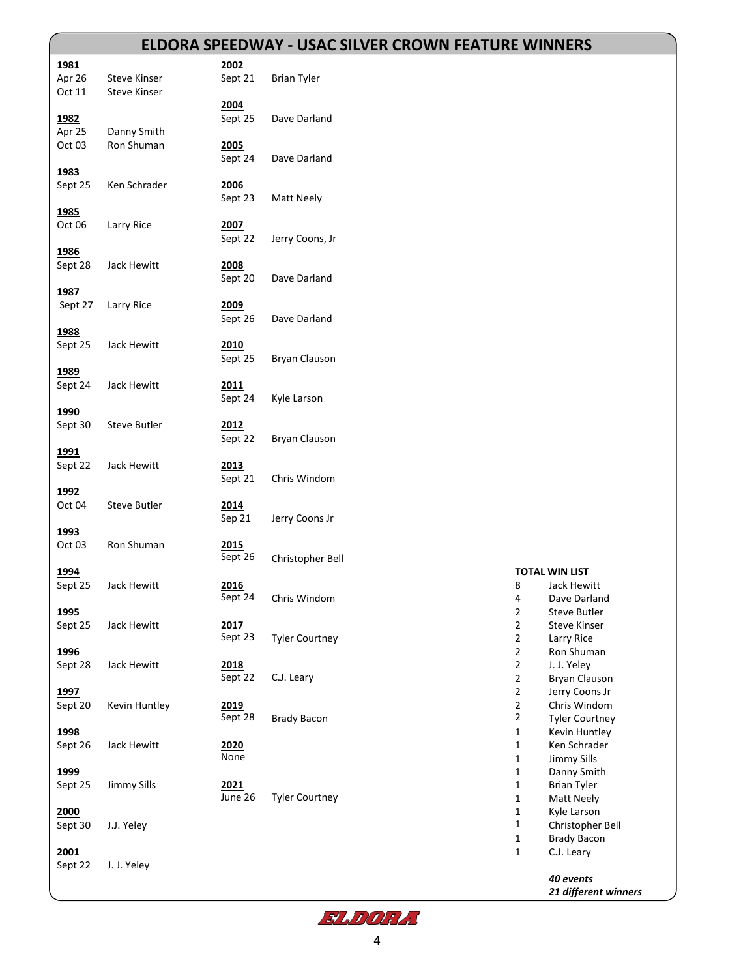## **ELDORA SPEEDWAY - USAC SILVER CROWN FEATURE WINNERS**

|                   |                     |         | <u>ELDORA SPEEDWAY - USAC SILVER CROWN FEATURE WINNERS</u> |                |                       |
|-------------------|---------------------|---------|------------------------------------------------------------|----------------|-----------------------|
|                   |                     |         |                                                            |                |                       |
| 1981              |                     | 2002    |                                                            |                |                       |
| Apr 26            | <b>Steve Kinser</b> | Sept 21 | <b>Brian Tyler</b>                                         |                |                       |
| Oct 11            | <b>Steve Kinser</b> |         |                                                            |                |                       |
|                   |                     | 2004    |                                                            |                |                       |
|                   |                     |         |                                                            |                |                       |
| 1982              |                     | Sept 25 | Dave Darland                                               |                |                       |
| Apr 25            | Danny Smith         |         |                                                            |                |                       |
| Oct 03            | Ron Shuman          | 2005    |                                                            |                |                       |
|                   |                     |         | Dave Darland                                               |                |                       |
|                   |                     | Sept 24 |                                                            |                |                       |
| 1983              |                     |         |                                                            |                |                       |
| Sept 25           | Ken Schrader        | 2006    |                                                            |                |                       |
|                   |                     | Sept 23 | Matt Neely                                                 |                |                       |
|                   |                     |         |                                                            |                |                       |
| 1985              |                     |         |                                                            |                |                       |
| Oct 06            | Larry Rice          | 2007    |                                                            |                |                       |
|                   |                     | Sept 22 | Jerry Coons, Jr                                            |                |                       |
|                   |                     |         |                                                            |                |                       |
| 1986              |                     |         |                                                            |                |                       |
| Sept 28           | Jack Hewitt         | 2008    |                                                            |                |                       |
|                   |                     | Sept 20 | Dave Darland                                               |                |                       |
| 1987              |                     |         |                                                            |                |                       |
| Sept 27           |                     | 2009    |                                                            |                |                       |
|                   | Larry Rice          |         |                                                            |                |                       |
|                   |                     | Sept 26 | Dave Darland                                               |                |                       |
| 1988              |                     |         |                                                            |                |                       |
| Sept 25           | Jack Hewitt         | 2010    |                                                            |                |                       |
|                   |                     |         |                                                            |                |                       |
|                   |                     | Sept 25 | <b>Bryan Clauson</b>                                       |                |                       |
| 1989              |                     |         |                                                            |                |                       |
| Sept 24           | Jack Hewitt         | 2011    |                                                            |                |                       |
|                   |                     | Sept 24 | Kyle Larson                                                |                |                       |
|                   |                     |         |                                                            |                |                       |
| 1990              |                     |         |                                                            |                |                       |
| Sept 30           | <b>Steve Butler</b> | 2012    |                                                            |                |                       |
|                   |                     | Sept 22 | Bryan Clauson                                              |                |                       |
|                   |                     |         |                                                            |                |                       |
| <u>1991</u>       |                     |         |                                                            |                |                       |
| Sept 22           | Jack Hewitt         | 2013    |                                                            |                |                       |
|                   |                     | Sept 21 | Chris Windom                                               |                |                       |
| 1992              |                     |         |                                                            |                |                       |
|                   |                     |         |                                                            |                |                       |
| Oct 04            | <b>Steve Butler</b> | 2014    |                                                            |                |                       |
|                   |                     | Sep 21  | Jerry Coons Jr                                             |                |                       |
| 1993              |                     |         |                                                            |                |                       |
| Oct <sub>03</sub> | Ron Shuman          | 2015    |                                                            |                |                       |
|                   |                     |         |                                                            |                |                       |
|                   |                     | Sept 26 | Christopher Bell                                           |                |                       |
| 1994              |                     |         |                                                            |                | <b>TOTAL WIN LIST</b> |
| Sept 25           | Jack Hewitt         | 2016    |                                                            | 8              | Jack Hewitt           |
|                   |                     | Sept 24 | Chris Windom                                               | 4              | Dave Darland          |
|                   |                     |         |                                                            |                |                       |
| 1995              |                     |         |                                                            | 2              | Steve Butler          |
| Sept 25           | Jack Hewitt         | 2017    |                                                            | $\overline{2}$ | <b>Steve Kinser</b>   |
|                   |                     | Sept 23 | <b>Tyler Courtney</b>                                      | $\overline{2}$ | Larry Rice            |
|                   |                     |         |                                                            |                |                       |
| <u>1996</u>       |                     |         |                                                            | $\overline{2}$ | Ron Shuman            |
| Sept 28           | Jack Hewitt         | 2018    |                                                            | $\overline{2}$ | J. J. Yeley           |
|                   |                     | Sept 22 | C.J. Leary                                                 | $\overline{2}$ | Bryan Clauson         |
| 1997              |                     |         |                                                            | $\overline{2}$ | Jerry Coons Jr        |
|                   |                     |         |                                                            |                |                       |
| Sept 20           | Kevin Huntley       | 2019    |                                                            | $\overline{2}$ | Chris Windom          |
|                   |                     | Sept 28 | <b>Brady Bacon</b>                                         | $\mathbf{2}$   | <b>Tyler Courtney</b> |
| 1998              |                     |         |                                                            | $\mathbf 1$    | Kevin Huntley         |
|                   |                     |         |                                                            | $\mathbf{1}$   |                       |
| Sept 26           | Jack Hewitt         | 2020    |                                                            |                | Ken Schrader          |
|                   |                     | None    |                                                            | $\mathbf{1}$   | <b>Jimmy Sills</b>    |
| <u>1999</u>       |                     |         |                                                            | $\mathbf{1}$   | Danny Smith           |
| Sept 25           | <b>Jimmy Sills</b>  | 2021    |                                                            | $\mathbf 1$    | <b>Brian Tyler</b>    |
|                   |                     |         |                                                            |                |                       |
|                   |                     | June 26 | <b>Tyler Courtney</b>                                      | $\mathbf 1$    | Matt Neely            |
| 2000              |                     |         |                                                            | $\mathbf 1$    | Kyle Larson           |
| Sept 30           | J.J. Yeley          |         |                                                            | $\mathbf{1}$   | Christopher Bell      |
|                   |                     |         |                                                            | $\mathbf 1$    | <b>Brady Bacon</b>    |
|                   |                     |         |                                                            |                |                       |
| 2001              |                     |         |                                                            | 1              | C.J. Leary            |
| Sept 22           | J. J. Yeley         |         |                                                            |                |                       |
|                   |                     |         |                                                            |                | 40 events             |
|                   |                     |         |                                                            |                | 21 different winners  |
|                   |                     |         |                                                            |                |                       |